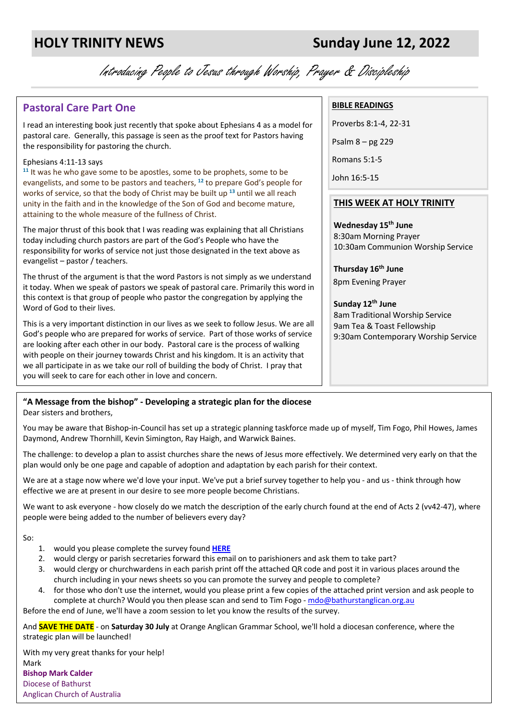Introducing People to Jesus through Worship, Prayer & Discipleship

# **Pastoral Care Part One**

I read an interesting book just recently that spoke about Ephesians 4 as a model for pastoral care. Generally, this passage is seen as the proof text for Pastors having the responsibility for pastoring the church.

#### Ephesians 4:11-13 says

**<sup>11</sup>** It was he who gave some to be apostles, some to be prophets, some to be evangelists, and some to be pastors and teachers, **<sup>12</sup>** to prepare God's people for works of service, so that the body of Christ may be built up **<sup>13</sup>** until we all reach unity in the faith and in the knowledge of the Son of God and become mature, attaining to the whole measure of the fullness of Christ.

The major thrust of this book that I was reading was explaining that all Christians today including church pastors are part of the God's People who have the responsibility for works of service not just those designated in the text above as evangelist – pastor / teachers.

The thrust of the argument is that the word Pastors is not simply as we understand it today. When we speak of pastors we speak of pastoral care. Primarily this word in this context is that group of people who pastor the congregation by applying the Word of God to their lives.

This is a very important distinction in our lives as we seek to follow Jesus. We are all God's people who are prepared for works of service. Part of those works of service are looking after each other in our body. Pastoral care is the process of walking with people on their journey towards Christ and his kingdom. It is an activity that we all participate in as we take our roll of building the body of Christ. I pray that you will seek to care for each other in love and concern.

### **"A Message from the bishop" - Developing a strategic plan for the diocese**

Dear sisters and brothers,

You may be aware that Bishop-in-Council has set up a strategic planning taskforce made up of myself, Tim Fogo, Phil Howes, James Daymond, Andrew Thornhill, Kevin Simington, Ray Haigh, and Warwick Baines.

The challenge: to develop a plan to assist churches share the news of Jesus more effectively. We determined very early on that the plan would only be one page and capable of adoption and adaptation by each parish for their context.

We are at a stage now where we'd love your input. We've put a brief survey together to help you - and us - think through how effective we are at present in our desire to see more people become Christians.

We want to ask everyone - how closely do we match the description of the early church found at the end of Acts 2 (vv42-47), where people were being added to the number of believers every day?

So:

- 1. would you please complete the survey found **HERE**
- 2. would clergy or parish secretaries forward this email on to parishioners and ask them to take part?
- 3. would clergy or churchwardens in each parish print off the attached QR code and post it in various places around the church including in your news sheets so you can promote the survey and people to complete?
- 4. for those who don't use the internet, would you please print a few copies of the attached print version and ask people to complete at church? Would you then please scan and send to Tim Fogo - mdo@bathurstanglican.org.au

Before the end of June, we'll have a zoom session to let you know the results of the survey.

And **SAVE THE DATE** - on **Saturday 30 July** at Orange Anglican Grammar School, we'll hold a diocesan conference, where the strategic plan will be launched!

With my very great thanks for your help! Mark **Bishop Mark Calder** Diocese of Bathurst Anglican Church of Australia

#### **BIBLE READINGS**

Proverbs 8:1-4, 22-31 Psalm 8 – pg 229 Romans 5:1-5

John 16:5-15

#### **THIS WEEK AT HOLY TRINITY**

**Wednesday 15th June** 8:30am Morning Prayer 10:30am Communion Worship Service

**Thursday 16th June** 8pm Evening Prayer

**Sunday 12th June**  8am Traditional Worship Service 9am Tea & Toast Fellowship 9:30am Contemporary Worship Service